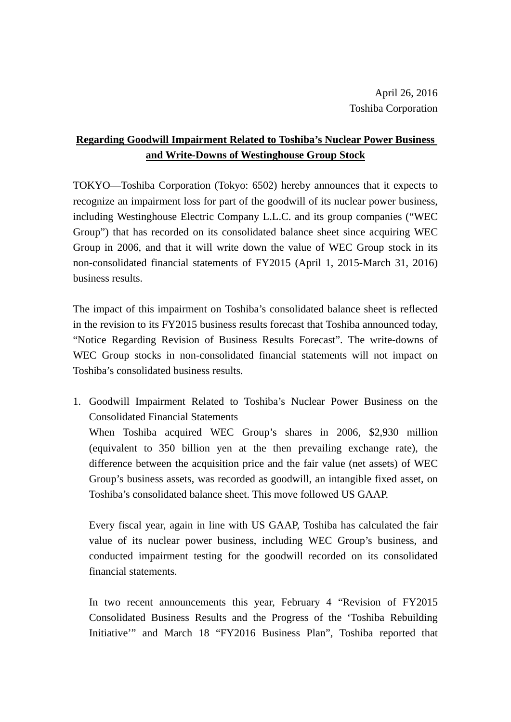## **Regarding Goodwill Impairment Related to Toshiba's Nuclear Power Business and Write-Downs of Westinghouse Group Stock**

TOKYO—Toshiba Corporation (Tokyo: 6502) hereby announces that it expects to recognize an impairment loss for part of the goodwill of its nuclear power business, including Westinghouse Electric Company L.L.C. and its group companies ("WEC Group") that has recorded on its consolidated balance sheet since acquiring WEC Group in 2006, and that it will write down the value of WEC Group stock in its non-consolidated financial statements of FY2015 (April 1, 2015-March 31, 2016) business results.

The impact of this impairment on Toshiba's consolidated balance sheet is reflected in the revision to its FY2015 business results forecast that Toshiba announced today, "Notice Regarding Revision of Business Results Forecast". The write-downs of WEC Group stocks in non-consolidated financial statements will not impact on Toshiba's consolidated business results.

1. Goodwill Impairment Related to Toshiba's Nuclear Power Business on the Consolidated Financial Statements

When Toshiba acquired WEC Group's shares in 2006, \$2,930 million (equivalent to 350 billion yen at the then prevailing exchange rate), the difference between the acquisition price and the fair value (net assets) of WEC Group's business assets, was recorded as goodwill, an intangible fixed asset, on Toshiba's consolidated balance sheet. This move followed US GAAP.

Every fiscal year, again in line with US GAAP, Toshiba has calculated the fair value of its nuclear power business, including WEC Group's business, and conducted impairment testing for the goodwill recorded on its consolidated financial statements.

In two recent announcements this year, February 4 "Revision of FY2015 Consolidated Business Results and the Progress of the 'Toshiba Rebuilding Initiative'" and March 18 "FY2016 Business Plan", Toshiba reported that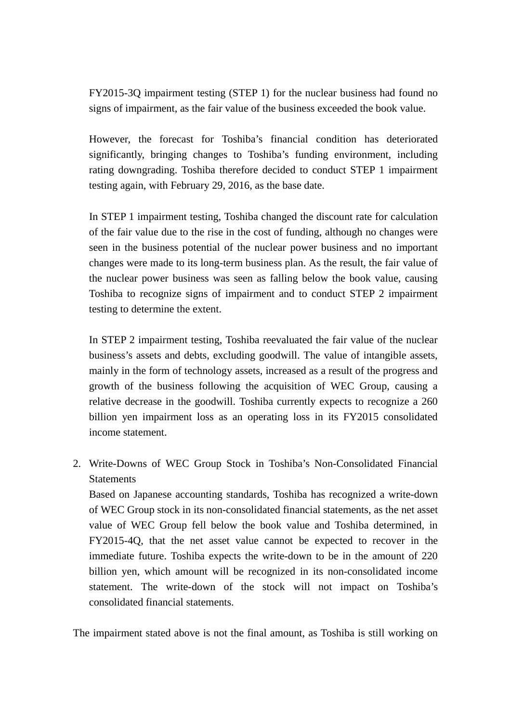FY2015-3Q impairment testing (STEP 1) for the nuclear business had found no signs of impairment, as the fair value of the business exceeded the book value.

However, the forecast for Toshiba's financial condition has deteriorated significantly, bringing changes to Toshiba's funding environment, including rating downgrading. Toshiba therefore decided to conduct STEP 1 impairment testing again, with February 29, 2016, as the base date.

In STEP 1 impairment testing, Toshiba changed the discount rate for calculation of the fair value due to the rise in the cost of funding, although no changes were seen in the business potential of the nuclear power business and no important changes were made to its long-term business plan. As the result, the fair value of the nuclear power business was seen as falling below the book value, causing Toshiba to recognize signs of impairment and to conduct STEP 2 impairment testing to determine the extent.

In STEP 2 impairment testing, Toshiba reevaluated the fair value of the nuclear business's assets and debts, excluding goodwill. The value of intangible assets, mainly in the form of technology assets, increased as a result of the progress and growth of the business following the acquisition of WEC Group, causing a relative decrease in the goodwill. Toshiba currently expects to recognize a 260 billion yen impairment loss as an operating loss in its FY2015 consolidated income statement.

2. Write-Downs of WEC Group Stock in Toshiba's Non-Consolidated Financial **Statements** 

Based on Japanese accounting standards, Toshiba has recognized a write-down of WEC Group stock in its non-consolidated financial statements, as the net asset value of WEC Group fell below the book value and Toshiba determined, in FY2015-4Q, that the net asset value cannot be expected to recover in the immediate future. Toshiba expects the write-down to be in the amount of 220 billion yen, which amount will be recognized in its non-consolidated income statement. The write-down of the stock will not impact on Toshiba's consolidated financial statements.

The impairment stated above is not the final amount, as Toshiba is still working on